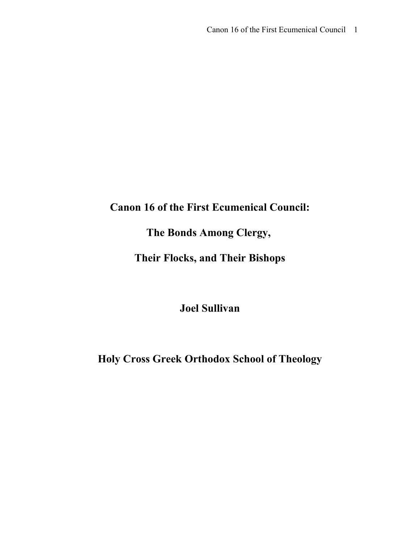### **Canon 16 of the First Ecumenical Council:**

# **The Bonds Among Clergy,**

# **Their Flocks, and Their Bishops**

### **Joel Sullivan**

# **Holy Cross Greek Orthodox School of Theology**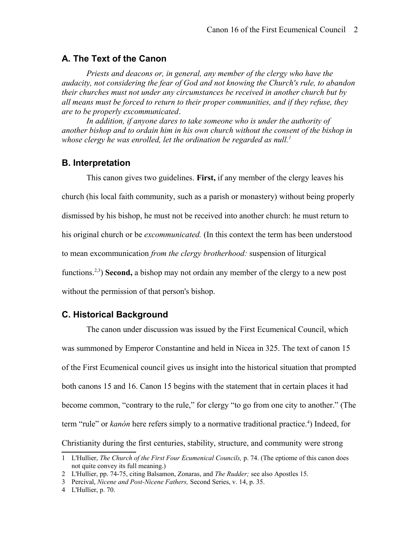#### **A. The Text of the Canon**

*Priests and deacons or, in general, any member of the clergy who have the audacity, not considering the fear of God and not knowing the Church's rule, to abandon their churches must not under any circumstances be received in another church but by all means must be forced to return to their proper communities, and if they refuse, they are to be properly excommunicated*.

In addition, if anyone dares to take someone who is under the authority of *another bishop and to ordain him in his own church without the consent of the bishop in whose clergy he was enrolled, let the ordination be regarded as null.[1](#page-1-0)*

### **B. Interpretation**

This canon gives two guidelines. **First,** if any member of the clergy leaves his church (his local faith community, such as a parish or monastery) without being properly dismissed by his bishop, he must not be received into another church: he must return to his original church or be *excommunicated.* (In this context the term has been understood to mean excommunication *from the clergy brotherhood:* suspension of liturgical functions.<sup>[2](#page-1-1)[,3](#page-1-2)</sup>) **Second,** a bishop may not ordain any member of the clergy to a new post without the permission of that person's bishop.

### **C. Historical Background**

The canon under discussion was issued by the First Ecumenical Council, which was summoned by Emperor Constantine and held in Nicea in 325. The text of canon 15 of the First Ecumenical council gives us insight into the historical situation that prompted both canons 15 and 16. Canon 15 begins with the statement that in certain places it had become common, "contrary to the rule," for clergy "to go from one city to another." (The term "rule" or *kanón* here refers simply to a normative traditional practice.<sup>[4](#page-1-3)</sup>) Indeed, for Christianity during the first centuries, stability, structure, and community were strong

<span id="page-1-0"></span><sup>1</sup> L'Hullier, *The Church of the First Four Ecumenical Councils,* p. 74. (The eptiome of this canon does not quite convey its full meaning.)

<span id="page-1-1"></span><sup>2</sup> L'Hullier, pp. 74-75, citing Balsamon, Zonaras, and *The Rudder;* see also Apostles 15.

<span id="page-1-2"></span><sup>3</sup> Percival, *Nicene and Post-Nicene Fathers,* Second Series, v. 14, p. 35.

<span id="page-1-3"></span><sup>4</sup> L'Hullier, p. 70.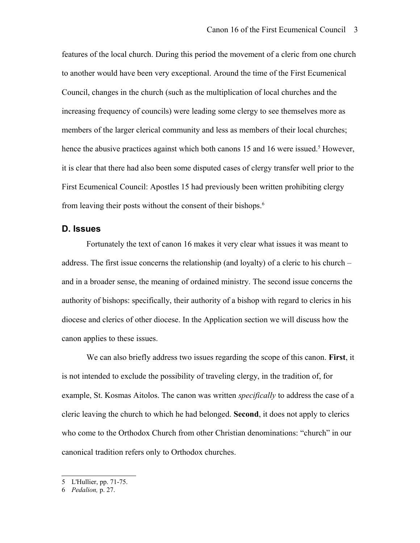features of the local church. During this period the movement of a cleric from one church to another would have been very exceptional. Around the time of the First Ecumenical Council, changes in the church (such as the multiplication of local churches and the increasing frequency of councils) were leading some clergy to see themselves more as members of the larger clerical community and less as members of their local churches; hence the abusive practices against which both canons 1[5](#page-2-0) and 16 were issued.<sup>5</sup> However, it is clear that there had also been some disputed cases of clergy transfer well prior to the First Ecumenical Council: Apostles 15 had previously been written prohibiting clergy from leaving their posts without the consent of their bishops.<sup>[6](#page-2-1)</sup>

#### **D. Issues**

Fortunately the text of canon 16 makes it very clear what issues it was meant to address. The first issue concerns the relationship (and loyalty) of a cleric to his church – and in a broader sense, the meaning of ordained ministry. The second issue concerns the authority of bishops: specifically, their authority of a bishop with regard to clerics in his diocese and clerics of other diocese. In the Application section we will discuss how the canon applies to these issues.

We can also briefly address two issues regarding the scope of this canon. **First**, it is not intended to exclude the possibility of traveling clergy, in the tradition of, for example, St. Kosmas Aitolos. The canon was written *specifically* to address the case of a cleric leaving the church to which he had belonged. **Second**, it does not apply to clerics who come to the Orthodox Church from other Christian denominations: "church" in our canonical tradition refers only to Orthodox churches.

<span id="page-2-0"></span><sup>5</sup> L'Hullier, pp. 71-75.

<span id="page-2-1"></span><sup>6</sup> *Pedalion,* p. 27.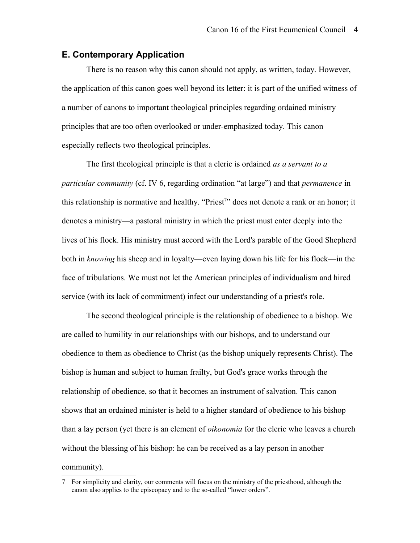### **E. Contemporary Application**

There is no reason why this canon should not apply, as written, today. However, the application of this canon goes well beyond its letter: it is part of the unified witness of a number of canons to important theological principles regarding ordained ministry principles that are too often overlooked or under-emphasized today. This canon especially reflects two theological principles.

The first theological principle is that a cleric is ordained *as a servant to a particular community* (cf. IV 6, regarding ordination "at large") and that *permanence* in this relationship is normative and healthy. "Priest<sup>[7](#page-3-0)</sup>" does not denote a rank or an honor; it denotes a ministry—a pastoral ministry in which the priest must enter deeply into the lives of his flock. His ministry must accord with the Lord's parable of the Good Shepherd both in *knowing* his sheep and in loyalty—even laying down his life for his flock—in the face of tribulations. We must not let the American principles of individualism and hired service (with its lack of commitment) infect our understanding of a priest's role.

The second theological principle is the relationship of obedience to a bishop. We are called to humility in our relationships with our bishops, and to understand our obedience to them as obedience to Christ (as the bishop uniquely represents Christ). The bishop is human and subject to human frailty, but God's grace works through the relationship of obedience, so that it becomes an instrument of salvation. This canon shows that an ordained minister is held to a higher standard of obedience to his bishop than a lay person (yet there is an element of *oikonomia* for the cleric who leaves a church without the blessing of his bishop: he can be received as a lay person in another community).

<span id="page-3-0"></span><sup>7</sup> For simplicity and clarity, our comments will focus on the ministry of the priesthood, although the canon also applies to the episcopacy and to the so-called "lower orders".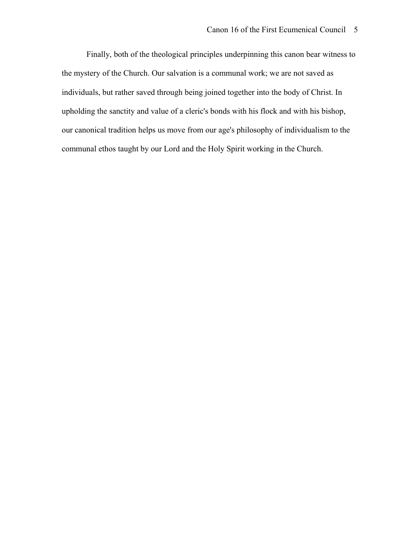Finally, both of the theological principles underpinning this canon bear witness to the mystery of the Church. Our salvation is a communal work; we are not saved as individuals, but rather saved through being joined together into the body of Christ. In upholding the sanctity and value of a cleric's bonds with his flock and with his bishop, our canonical tradition helps us move from our age's philosophy of individualism to the communal ethos taught by our Lord and the Holy Spirit working in the Church.